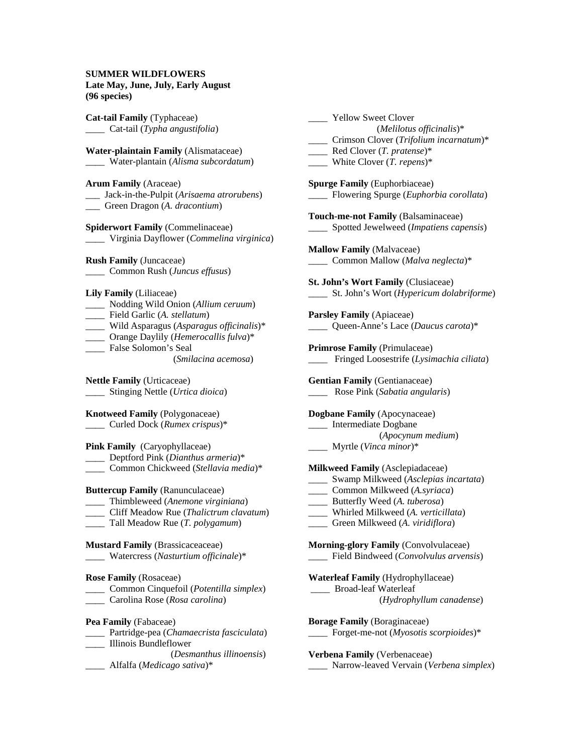## **SUMMER WILDFLOWERS**

|              | Late May, June, July, Early August |
|--------------|------------------------------------|
| (96 species) |                                    |

**Cat-tail Family** (Typhaceae) \_\_\_\_ Cat-tail (*Typha angustifolia*) **Water-plaintain Family** (Alismataceae) \_\_\_\_ Water-plantain (*Alisma subcordatum*) **Arum Family** (Araceae) \_\_\_ Jack-in-the-Pulpit (*Arisaema atrorubens*) \_\_\_ Green Dragon (*A. dracontium*) **Spiderwort Family** (Commelinaceae) \_\_\_\_ Virginia Dayflower (*Commelina virginica*) **Rush Family** (Juncaceae) \_\_\_\_ Common Rush (*Juncus effusus*) **Lily Family** (Liliaceae) \_\_\_\_ Nodding Wild Onion (*Allium ceruum*) \_\_\_\_ Field Garlic (*A. stellatum*) \_\_\_\_ Wild Asparagus (*Asparagus officinalis*)\* \_\_\_\_ Orange Daylily (*Hemerocallis fulva*)\* \_\_\_\_ False Solomon's Seal (*Smilacina acemosa*) **Nettle Family** (Urticaceae) \_\_\_\_ Stinging Nettle (*Urtica dioica*) **Knotweed Family** (Polygonaceae) \_\_\_\_ Curled Dock (*Rumex crispus*)\* **Pink Family** (Caryophyllaceae) \_\_\_\_ Deptford Pink (*Dianthus armeria*)\* \_\_\_\_ Common Chickweed (*Stellavia media*)\* **Buttercup Family** (Ranunculaceae) \_\_\_\_ Thimbleweed (*Anemone virginiana*) \_\_\_\_ Cliff Meadow Rue (*Thalictrum clavatum*) \_\_\_\_ Tall Meadow Rue (*T. polygamum*) **Mustard Family** (Brassicaceaceae) \_\_\_\_ Watercress (*Nasturtium officinale*)\* **Rose Family** (Rosaceae) \_\_\_\_ Common Cinquefoil (*Potentilla simplex*) \_\_\_\_ Carolina Rose (*Rosa carolina*) **Pea Family** (Fabaceae) \_\_\_\_ Partridge-pea (*Chamaecrista fasciculata*) \_\_\_\_ Illinois Bundleflower (*Desmanthus illinoensis*) \_\_\_\_ Alfalfa (*Medicago sativa*)\* \_\_\_\_ Yellow Sweet Clover (*Melilotus officinalis*)\* \_\_\_\_ Crimson Clover (*Trifolium incarnatum*)\* \_\_\_\_ Red Clover (*T. pratense*)\* \_\_\_\_ White Clover (*T. repens*)\* **Spurge Family** (Euphorbiaceae) \_\_\_\_ Flowering Spurge (*Euphorbia corollata*) **Touch-me-not Family** (Balsaminaceae) \_\_\_\_ Spotted Jewelweed (*Impatiens capensis*) **Mallow Family** (Malvaceae) \_\_\_\_ Common Mallow (*Malva neglecta*)\* **St. John's Wort Family** (Clusiaceae) \_\_\_\_ St. John's Wort (*Hypericum dolabriforme*) **Parsley Family** (Apiaceae) \_\_\_\_ Queen-Anne's Lace (*Daucus carota*)\* **Primrose Family** (Primulaceae) \_\_\_\_ Fringed Loosestrife (*Lysimachia ciliata*) **Gentian Family** (Gentianaceae) \_\_\_\_ Rose Pink (*Sabatia angularis*) **Dogbane Family** (Apocynaceae) \_\_\_\_ Intermediate Dogbane (*Apocynum medium*) \_\_\_\_ Myrtle (*Vinca minor*)\* **Milkweed Family** (Asclepiadaceae) \_\_\_\_ Swamp Milkweed (*Asclepias incartata*) \_\_\_\_ Common Milkweed (*A.syriaca*) \_\_\_\_ Butterfly Weed (*A. tuberosa*) \_\_\_\_ Whirled Milkweed (*A. verticillata*) \_\_\_\_ Green Milkweed (*A. viridiflora*) **Morning-glory Family** (Convolvulaceae) \_\_\_\_ Field Bindweed (*Convolvulus arvensis*) **Waterleaf Family** (Hydrophyllaceae) \_\_\_\_ Broad-leaf Waterleaf (*Hydrophyllum canadense*) **Borage Family** (Boraginaceae) \_\_\_\_ Forget-me-not (*Myosotis scorpioides*)\* **Verbena Family** (Verbenaceae) \_\_\_\_ Narrow-leaved Vervain (*Verbena simplex*)